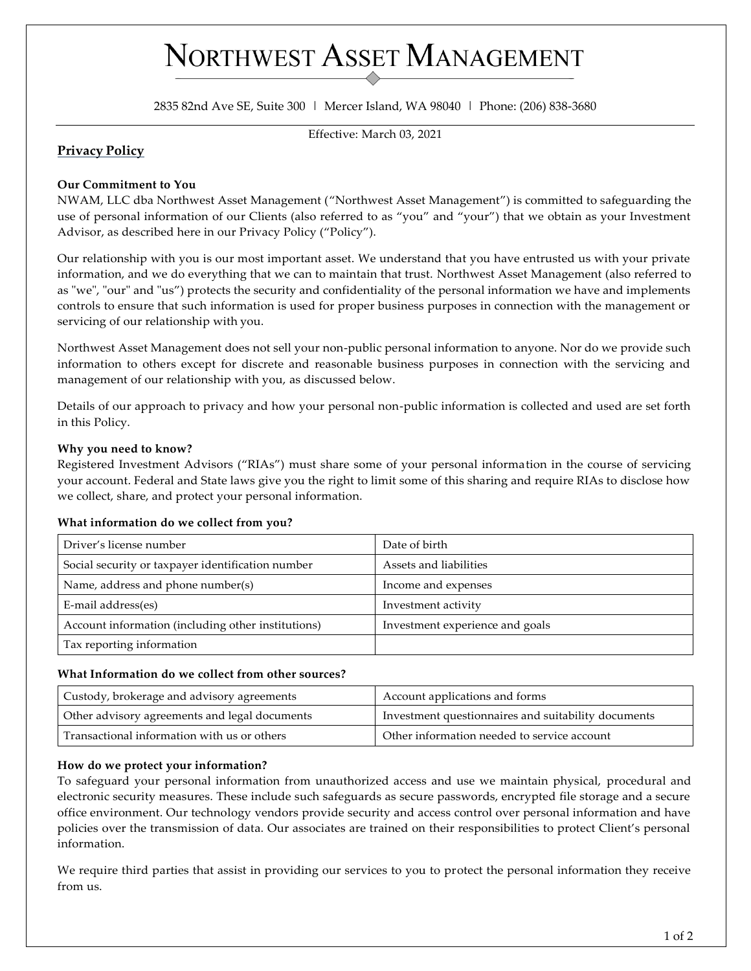# NORTHWEST ASSET MANAGEMENT

2835 82nd Ave SE, Suite 300 | Mercer Island, WA 98040 | Phone: (206) 838-3680

Effective: March 03, 2021

# **Privacy Policy**

### **Our Commitment to You**

NWAM, LLC dba Northwest Asset Management ("Northwest Asset Management") is committed to safeguarding the use of personal information of our Clients (also referred to as "you" and "your") that we obtain as your Investment Advisor, as described here in our Privacy Policy ("Policy").

Our relationship with you is our most important asset. We understand that you have entrusted us with your private information, and we do everything that we can to maintain that trust. Northwest Asset Management (also referred to as "we", "our" and "us") protects the security and confidentiality of the personal information we have and implements controls to ensure that such information is used for proper business purposes in connection with the management or servicing of our relationship with you.

Northwest Asset Management does not sell your non-public personal information to anyone. Nor do we provide such information to others except for discrete and reasonable business purposes in connection with the servicing and management of our relationship with you, as discussed below.

Details of our approach to privacy and how your personal non-public information is collected and used are set forth in this Policy.

### **Why you need to know?**

Registered Investment Advisors ("RIAs") must share some of your personal information in the course of servicing your account. Federal and State laws give you the right to limit some of this sharing and require RIAs to disclose how we collect, share, and protect your personal information.

## **What information do we collect from you?**

| Driver's license number                            | Date of birth                   |
|----------------------------------------------------|---------------------------------|
| Social security or taxpayer identification number  | Assets and liabilities          |
| Name, address and phone number(s)                  | Income and expenses             |
| E-mail address(es)                                 | Investment activity             |
| Account information (including other institutions) | Investment experience and goals |
| Tax reporting information                          |                                 |

#### **What Information do we collect from other sources?**

| Custody, brokerage and advisory agreements    | Account applications and forms                      |
|-----------------------------------------------|-----------------------------------------------------|
| Other advisory agreements and legal documents | Investment questionnaires and suitability documents |
| Transactional information with us or others   | Other information needed to service account         |

#### **How do we protect your information?**

To safeguard your personal information from unauthorized access and use we maintain physical, procedural and electronic security measures. These include such safeguards as secure passwords, encrypted file storage and a secure office environment. Our technology vendors provide security and access control over personal information and have policies over the transmission of data. Our associates are trained on their responsibilities to protect Client's personal information.

We require third parties that assist in providing our services to you to protect the personal information they receive from us.